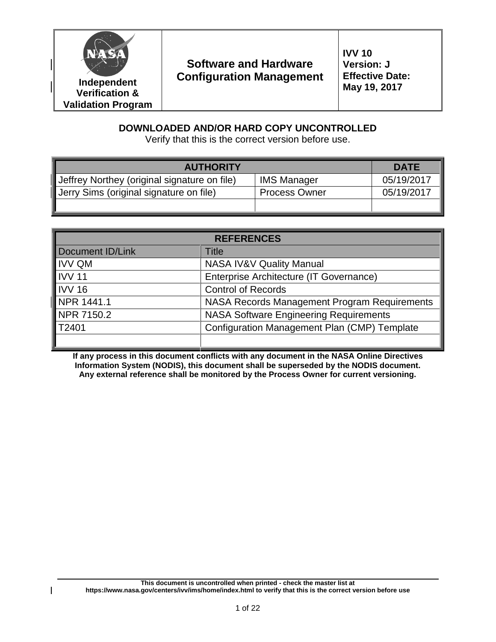

 $\overline{\phantom{a}}$ 

# **Software and Hardware Configuration Management**

# **DOWNLOADED AND/OR HARD COPY UNCONTROLLED**

Verify that this is the correct version before use.

| <b>AUTHORITY</b>                             | <b>DATE</b>          |            |
|----------------------------------------------|----------------------|------------|
| Jeffrey Northey (original signature on file) | <b>IMS Manager</b>   | 05/19/2017 |
| Jerry Sims (original signature on file)      | <b>Process Owner</b> | 05/19/2017 |
|                                              |                      |            |

| <b>REFERENCES</b>       |                                               |  |  |  |
|-------------------------|-----------------------------------------------|--|--|--|
| <b>Document ID/Link</b> | Title                                         |  |  |  |
| <b>IVV QM</b>           | NASA IV&V Quality Manual                      |  |  |  |
| <b>IVV 11</b>           | Enterprise Architecture (IT Governance)       |  |  |  |
| <b>IVV 16</b>           | <b>Control of Records</b>                     |  |  |  |
| NPR 1441.1              | NASA Records Management Program Requirements  |  |  |  |
| NPR 7150.2              | <b>NASA Software Engineering Requirements</b> |  |  |  |
| T2401                   | Configuration Management Plan (CMP) Template  |  |  |  |
|                         |                                               |  |  |  |

**If any process in this document conflicts with any document in the NASA Online Directives Information System (NODIS), this document shall be superseded by the NODIS document. Any external reference shall be monitored by the Process Owner for current versioning.**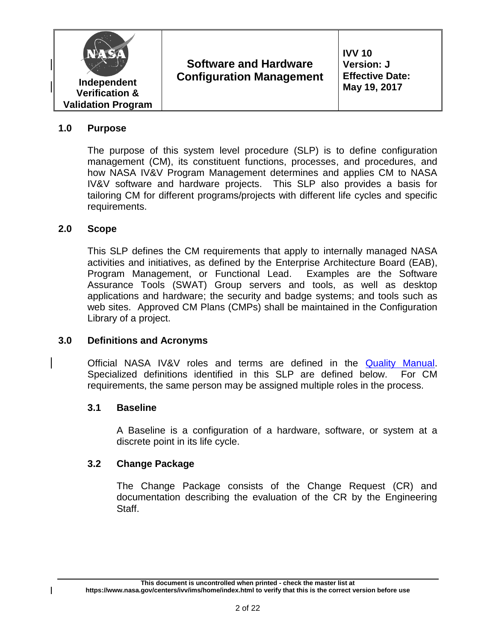

#### **1.0 Purpose**

The purpose of this system level procedure (SLP) is to define configuration management (CM), its constituent functions, processes, and procedures, and how NASA IV&V Program Management determines and applies CM to NASA IV&V software and hardware projects. This SLP also provides a basis for tailoring CM for different programs/projects with different life cycles and specific requirements.

#### **2.0 Scope**

This SLP defines the CM requirements that apply to internally managed NASA activities and initiatives, as defined by the Enterprise Architecture Board (EAB), Program Management, or Functional Lead. Examples are the Software Assurance Tools (SWAT) Group servers and tools, as well as desktop applications and hardware; the security and badge systems; and tools such as web sites. Approved CM Plans (CMPs) shall be maintained in the Configuration Library of a project.

#### **3.0 Definitions and Acronyms**

Official NASA IV&V roles and terms are defined in the [Quality Manual.](https://www.nasa.gov/centers/ivv/ims/slps/index.html) Specialized definitions identified in this SLP are defined below. For CM requirements, the same person may be assigned multiple roles in the process.

#### **3.1 Baseline**

A Baseline is a configuration of a hardware, software, or system at a discrete point in its life cycle.

#### **3.2 Change Package**

The Change Package consists of the Change Request (CR) and documentation describing the evaluation of the CR by the Engineering Staff.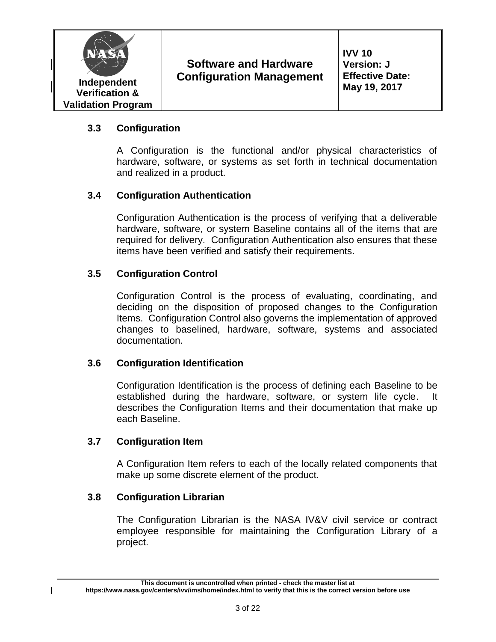

**IVV 10 Version: J Effective Date: May 19, 2017**

# **3.3 Configuration**

A Configuration is the functional and/or physical characteristics of hardware, software, or systems as set forth in technical documentation and realized in a product.

# **3.4 Configuration Authentication**

Configuration Authentication is the process of verifying that a deliverable hardware, software, or system Baseline contains all of the items that are required for delivery. Configuration Authentication also ensures that these items have been verified and satisfy their requirements.

#### **3.5 Configuration Control**

Configuration Control is the process of evaluating, coordinating, and deciding on the disposition of proposed changes to the Configuration Items. Configuration Control also governs the implementation of approved changes to baselined, hardware, software, systems and associated documentation.

#### **3.6 Configuration Identification**

Configuration Identification is the process of defining each Baseline to be established during the hardware, software, or system life cycle. It describes the Configuration Items and their documentation that make up each Baseline.

#### **3.7 Configuration Item**

A Configuration Item refers to each of the locally related components that make up some discrete element of the product.

#### **3.8 Configuration Librarian**

The Configuration Librarian is the NASA IV&V civil service or contract employee responsible for maintaining the Configuration Library of a project.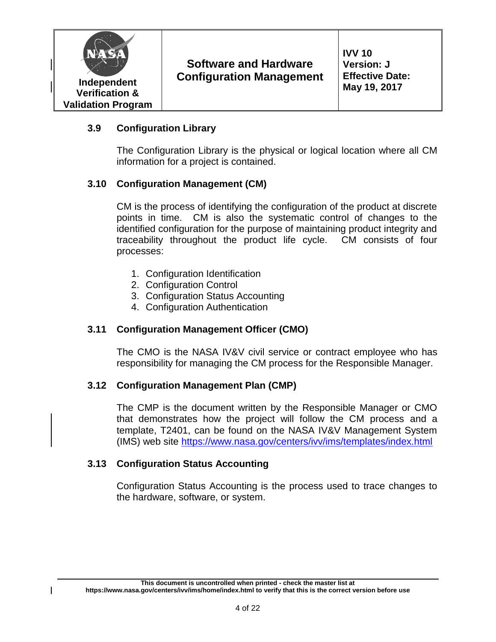

**IVV 10 Version: J Effective Date: May 19, 2017**

# **3.9 Configuration Library**

The Configuration Library is the physical or logical location where all CM information for a project is contained.

# **3.10 Configuration Management (CM)**

CM is the process of identifying the configuration of the product at discrete points in time. CM is also the systematic control of changes to the identified configuration for the purpose of maintaining product integrity and traceability throughout the product life cycle. CM consists of four processes:

- 1. Configuration Identification
- 2. Configuration Control
- 3. Configuration Status Accounting
- 4. Configuration Authentication

# **3.11 Configuration Management Officer (CMO)**

The CMO is the NASA IV&V civil service or contract employee who has responsibility for managing the CM process for the Responsible Manager.

# **3.12 Configuration Management Plan (CMP)**

The CMP is the document written by the Responsible Manager or CMO that demonstrates how the project will follow the CM process and a template, T2401, can be found on the NASA IV&V Management System (IMS) web site<https://www.nasa.gov/centers/ivv/ims/templates/index.html>

#### **3.13 Configuration Status Accounting**

Configuration Status Accounting is the process used to trace changes to the hardware, software, or system.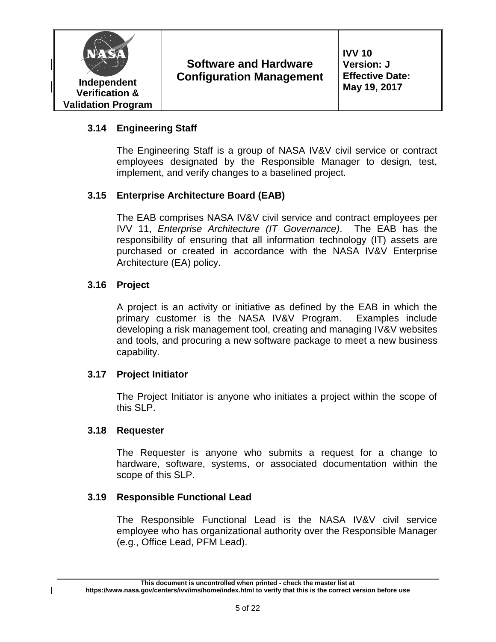

**IVV 10 Version: J Effective Date: May 19, 2017**

# **3.14 Engineering Staff**

The Engineering Staff is a group of NASA IV&V civil service or contract employees designated by the Responsible Manager to design, test, implement, and verify changes to a baselined project.

# **3.15 Enterprise Architecture Board (EAB)**

The EAB comprises NASA IV&V civil service and contract employees per IVV 11, *Enterprise Architecture (IT Governance)*. The EAB has the responsibility of ensuring that all information technology (IT) assets are purchased or created in accordance with the NASA IV&V Enterprise Architecture (EA) policy.

# **3.16 Project**

A project is an activity or initiative as defined by the EAB in which the primary customer is the NASA IV&V Program. Examples include developing a risk management tool, creating and managing IV&V websites and tools, and procuring a new software package to meet a new business capability.

# **3.17 Project Initiator**

The Project Initiator is anyone who initiates a project within the scope of this SLP.

# **3.18 Requester**

The Requester is anyone who submits a request for a change to hardware, software, systems, or associated documentation within the scope of this SLP.

# **3.19 Responsible Functional Lead**

The Responsible Functional Lead is the NASA IV&V civil service employee who has organizational authority over the Responsible Manager (e.g., Office Lead, PFM Lead).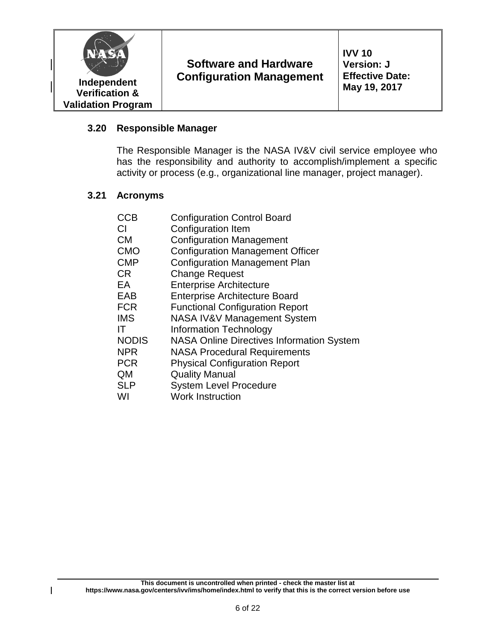

#### **3.20 Responsible Manager**

The Responsible Manager is the NASA IV&V civil service employee who has the responsibility and authority to accomplish/implement a specific activity or process (e.g., organizational line manager, project manager).

#### **3.21 Acronyms**

 $\overline{\phantom{a}}$ 

| CCB          | <b>Configuration Control Board</b>               |
|--------------|--------------------------------------------------|
| CI           | Configuration Item                               |
| <b>CM</b>    | <b>Configuration Management</b>                  |
| <b>CMO</b>   | <b>Configuration Management Officer</b>          |
| <b>CMP</b>   | <b>Configuration Management Plan</b>             |
| <b>CR</b>    | <b>Change Request</b>                            |
| EA           | <b>Enterprise Architecture</b>                   |
| <b>EAB</b>   | <b>Enterprise Architecture Board</b>             |
| <b>FCR</b>   | <b>Functional Configuration Report</b>           |
| <b>IMS</b>   | <b>NASA IV&amp;V Management System</b>           |
| ΙT           | <b>Information Technology</b>                    |
| <b>NODIS</b> | <b>NASA Online Directives Information System</b> |
| <b>NPR</b>   | <b>NASA Procedural Requirements</b>              |
| <b>PCR</b>   | <b>Physical Configuration Report</b>             |
| QM           | <b>Quality Manual</b>                            |
| <b>SLP</b>   | <b>System Level Procedure</b>                    |
| WI           | <b>Work Instruction</b>                          |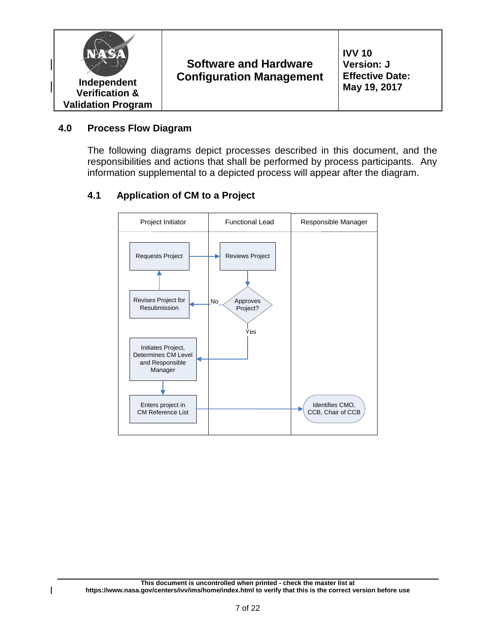

#### **4.0 Process Flow Diagram**

The following diagrams depict processes described in this document, and the responsibilities and actions that shall be performed by process participants. Any information supplemental to a depicted process will appear after the diagram.

#### **4.1 Application of CM to a Project**

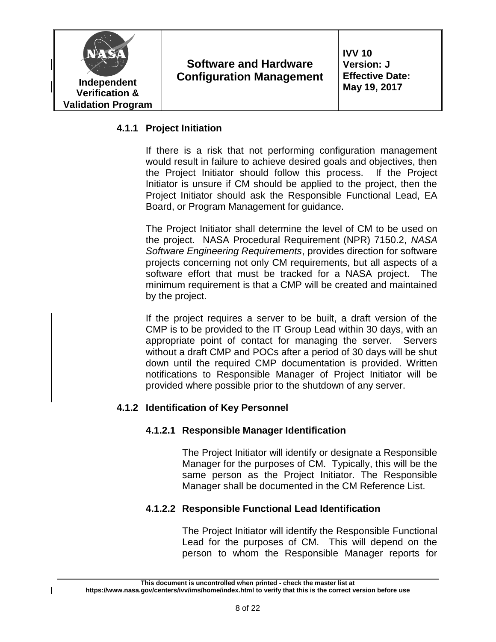

#### **4.1.1 Project Initiation**

If there is a risk that not performing configuration management would result in failure to achieve desired goals and objectives, then the Project Initiator should follow this process. If the Project Initiator is unsure if CM should be applied to the project, then the Project Initiator should ask the Responsible Functional Lead, EA Board, or Program Management for guidance.

The Project Initiator shall determine the level of CM to be used on the project. NASA Procedural Requirement (NPR) 7150.2, *NASA Software Engineering Requirements*, provides direction for software projects concerning not only CM requirements, but all aspects of a software effort that must be tracked for a NASA project. The minimum requirement is that a CMP will be created and maintained by the project.

If the project requires a server to be built, a draft version of the CMP is to be provided to the IT Group Lead within 30 days, with an appropriate point of contact for managing the server. Servers without a draft CMP and POCs after a period of 30 days will be shut down until the required CMP documentation is provided. Written notifications to Responsible Manager of Project Initiator will be provided where possible prior to the shutdown of any server.

# **4.1.2 Identification of Key Personnel**

#### **4.1.2.1 Responsible Manager Identification**

The Project Initiator will identify or designate a Responsible Manager for the purposes of CM. Typically, this will be the same person as the Project Initiator. The Responsible Manager shall be documented in the CM Reference List.

#### **4.1.2.2 Responsible Functional Lead Identification**

The Project Initiator will identify the Responsible Functional Lead for the purposes of CM. This will depend on the person to whom the Responsible Manager reports for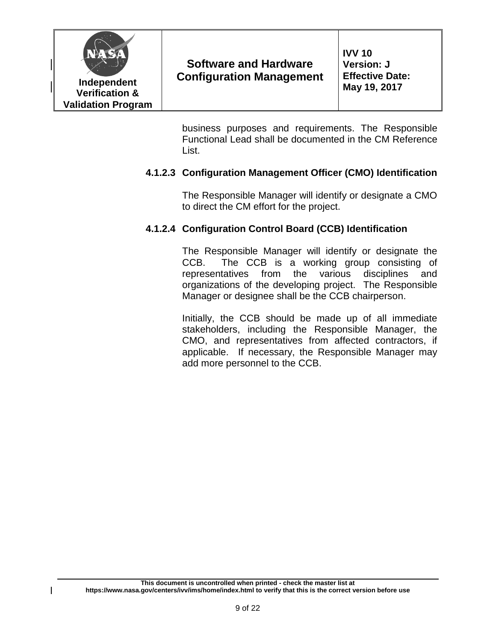

business purposes and requirements. The Responsible Functional Lead shall be documented in the CM Reference List.

# **4.1.2.3 Configuration Management Officer (CMO) Identification**

The Responsible Manager will identify or designate a CMO to direct the CM effort for the project.

# **4.1.2.4 Configuration Control Board (CCB) Identification**

The Responsible Manager will identify or designate the CCB. The CCB is a working group consisting of representatives from the various disciplines and organizations of the developing project. The Responsible Manager or designee shall be the CCB chairperson.

Initially, the CCB should be made up of all immediate stakeholders, including the Responsible Manager, the CMO, and representatives from affected contractors, if applicable. If necessary, the Responsible Manager may add more personnel to the CCB.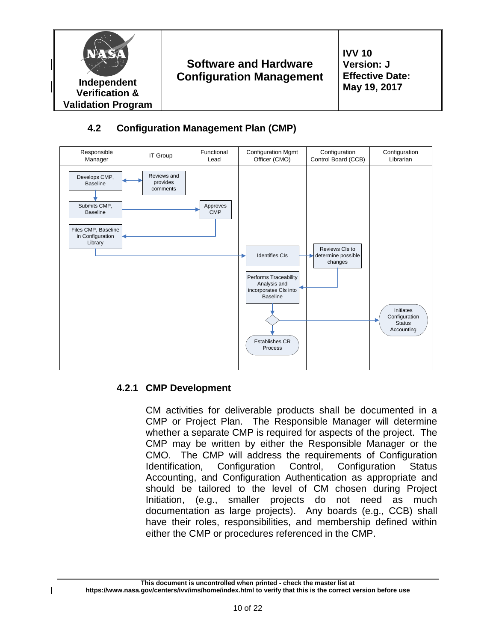





# **4.2.1 CMP Development**

CM activities for deliverable products shall be documented in a CMP or Project Plan. The Responsible Manager will determine whether a separate CMP is required for aspects of the project. The CMP may be written by either the Responsible Manager or the CMO. The CMP will address the requirements of Configuration Identification, Configuration Control, Configuration Status Accounting, and Configuration Authentication as appropriate and should be tailored to the level of CM chosen during Project Initiation, (e.g., smaller projects do not need as much documentation as large projects). Any boards (e.g., CCB) shall have their roles, responsibilities, and membership defined within either the CMP or procedures referenced in the CMP.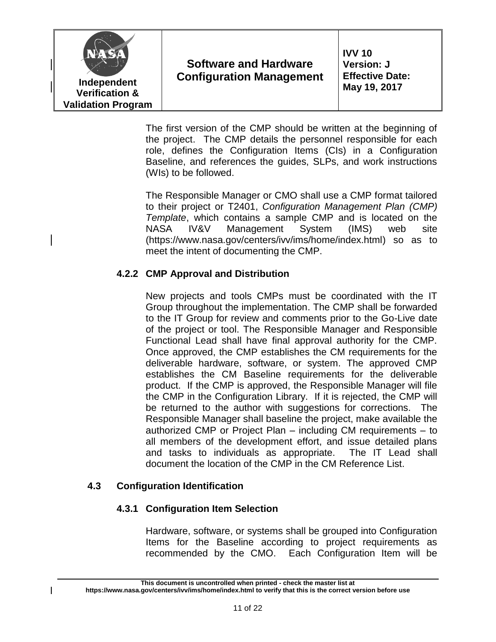

**IVV 10 Version: J Effective Date: May 19, 2017**

The first version of the CMP should be written at the beginning of the project. The CMP details the personnel responsible for each role, defines the Configuration Items (CIs) in a Configuration Baseline, and references the guides, SLPs, and work instructions (WIs) to be followed.

The Responsible Manager or CMO shall use a CMP format tailored to their project or T2401, *Configuration Management Plan (CMP) Template*, which contains a sample CMP and is located on the NASA IV&V Management System (IMS) web site (https://www.nasa.gov/centers/ivv/ims/home/index.html) so as to meet the intent of documenting the CMP.

# **4.2.2 CMP Approval and Distribution**

New projects and tools CMPs must be coordinated with the IT Group throughout the implementation. The CMP shall be forwarded to the IT Group for review and comments prior to the Go-Live date of the project or tool. The Responsible Manager and Responsible Functional Lead shall have final approval authority for the CMP. Once approved, the CMP establishes the CM requirements for the deliverable hardware, software, or system. The approved CMP establishes the CM Baseline requirements for the deliverable product. If the CMP is approved, the Responsible Manager will file the CMP in the Configuration Library. If it is rejected, the CMP will be returned to the author with suggestions for corrections. The Responsible Manager shall baseline the project, make available the authorized CMP or Project Plan – including CM requirements – to all members of the development effort, and issue detailed plans and tasks to individuals as appropriate. The IT Lead shall document the location of the CMP in the CM Reference List.

# **4.3 Configuration Identification**

# **4.3.1 Configuration Item Selection**

Hardware, software, or systems shall be grouped into Configuration Items for the Baseline according to project requirements as recommended by the CMO. Each Configuration Item will be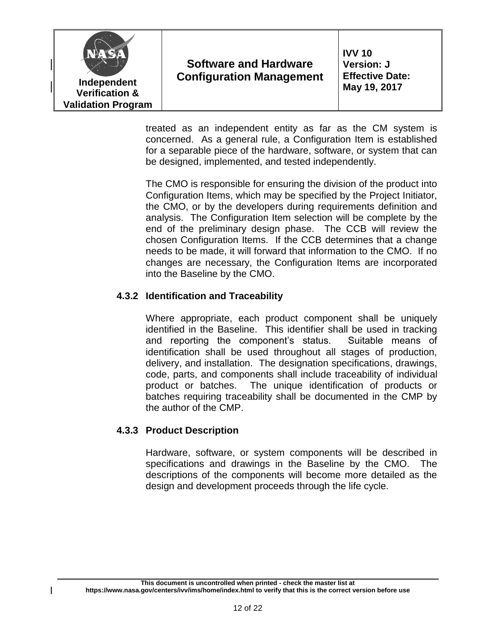

treated as an independent entity as far as the CM system is concerned. As a general rule, a Configuration Item is established for a separable piece of the hardware, software, or system that can be designed, implemented, and tested independently.

The CMO is responsible for ensuring the division of the product into Configuration Items, which may be specified by the Project Initiator, the CMO, or by the developers during requirements definition and analysis. The Configuration Item selection will be complete by the end of the preliminary design phase. The CCB will review the chosen Configuration Items. If the CCB determines that a change needs to be made, it will forward that information to the CMO. If no changes are necessary, the Configuration Items are incorporated into the Baseline by the CMO.

#### **4.3.2 Identification and Traceability**

Where appropriate, each product component shall be uniquely identified in the Baseline. This identifier shall be used in tracking and reporting the component's status. Suitable means of identification shall be used throughout all stages of production, delivery, and installation. The designation specifications, drawings, code, parts, and components shall include traceability of individual product or batches. The unique identification of products or batches requiring traceability shall be documented in the CMP by the author of the CMP.

#### **4.3.3 Product Description**

Hardware, software, or system components will be described in specifications and drawings in the Baseline by the CMO. The descriptions of the components will become more detailed as the design and development proceeds through the life cycle.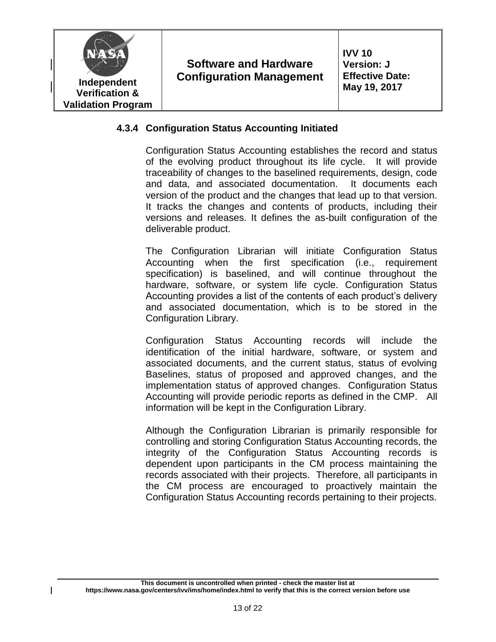

#### **4.3.4 Configuration Status Accounting Initiated**

Configuration Status Accounting establishes the record and status of the evolving product throughout its life cycle. It will provide traceability of changes to the baselined requirements, design, code and data, and associated documentation. It documents each version of the product and the changes that lead up to that version. It tracks the changes and contents of products, including their versions and releases. It defines the as-built configuration of the deliverable product.

The Configuration Librarian will initiate Configuration Status Accounting when the first specification (i.e., requirement specification) is baselined, and will continue throughout the hardware, software, or system life cycle. Configuration Status Accounting provides a list of the contents of each product's delivery and associated documentation, which is to be stored in the Configuration Library.

Configuration Status Accounting records will include the identification of the initial hardware, software, or system and associated documents, and the current status, status of evolving Baselines, status of proposed and approved changes, and the implementation status of approved changes. Configuration Status Accounting will provide periodic reports as defined in the CMP. All information will be kept in the Configuration Library.

Although the Configuration Librarian is primarily responsible for controlling and storing Configuration Status Accounting records, the integrity of the Configuration Status Accounting records is dependent upon participants in the CM process maintaining the records associated with their projects. Therefore, all participants in the CM process are encouraged to proactively maintain the Configuration Status Accounting records pertaining to their projects.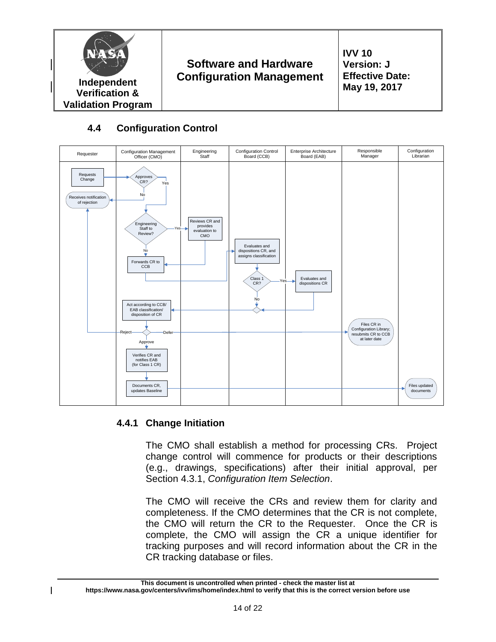

# **4.4 Configuration Control**



# **4.4.1 Change Initiation**

The CMO shall establish a method for processing CRs. Project change control will commence for products or their descriptions (e.g., drawings, specifications) after their initial approval, per Section 4.3.1, *Configuration Item Selection*.

The CMO will receive the CRs and review them for clarity and completeness. If the CMO determines that the CR is not complete, the CMO will return the CR to the Requester. Once the CR is complete, the CMO will assign the CR a unique identifier for tracking purposes and will record information about the CR in the CR tracking database or files.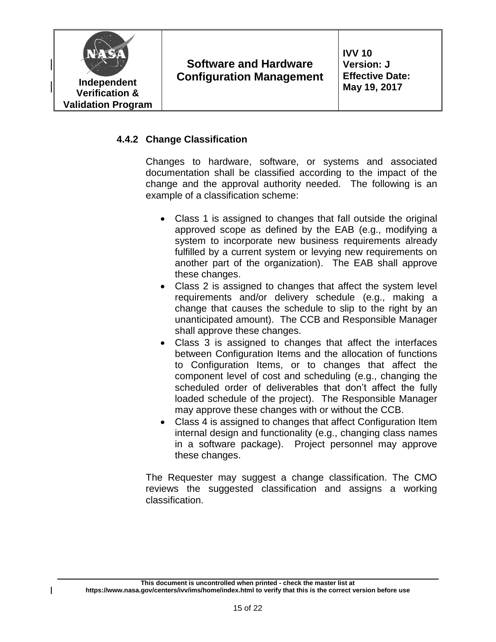

# **4.4.2 Change Classification**

Changes to hardware, software, or systems and associated documentation shall be classified according to the impact of the change and the approval authority needed. The following is an example of a classification scheme:

- Class 1 is assigned to changes that fall outside the original approved scope as defined by the EAB (e.g., modifying a system to incorporate new business requirements already fulfilled by a current system or levying new requirements on another part of the organization). The EAB shall approve these changes.
- Class 2 is assigned to changes that affect the system level requirements and/or delivery schedule (e.g., making a change that causes the schedule to slip to the right by an unanticipated amount). The CCB and Responsible Manager shall approve these changes.
- Class 3 is assigned to changes that affect the interfaces between Configuration Items and the allocation of functions to Configuration Items, or to changes that affect the component level of cost and scheduling (e.g., changing the scheduled order of deliverables that don't affect the fully loaded schedule of the project). The Responsible Manager may approve these changes with or without the CCB.
- Class 4 is assigned to changes that affect Configuration Item internal design and functionality (e.g., changing class names in a software package). Project personnel may approve these changes.

The Requester may suggest a change classification. The CMO reviews the suggested classification and assigns a working classification.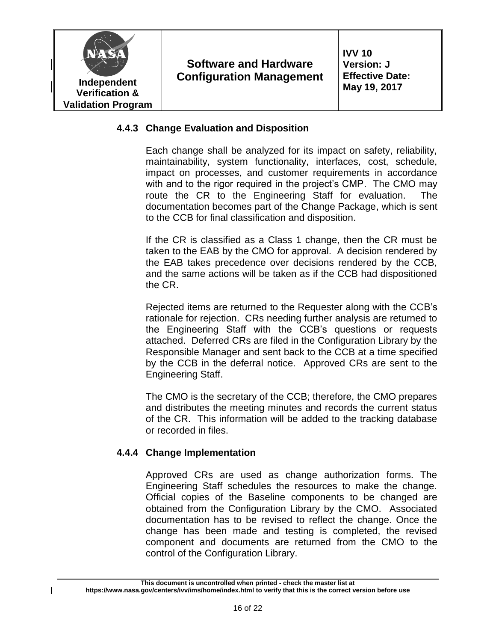

#### **4.4.3 Change Evaluation and Disposition**

Each change shall be analyzed for its impact on safety, reliability, maintainability, system functionality, interfaces, cost, schedule, impact on processes, and customer requirements in accordance with and to the rigor required in the project's CMP. The CMO may route the CR to the Engineering Staff for evaluation. The documentation becomes part of the Change Package, which is sent to the CCB for final classification and disposition.

If the CR is classified as a Class 1 change, then the CR must be taken to the EAB by the CMO for approval. A decision rendered by the EAB takes precedence over decisions rendered by the CCB, and the same actions will be taken as if the CCB had dispositioned the CR.

Rejected items are returned to the Requester along with the CCB's rationale for rejection. CRs needing further analysis are returned to the Engineering Staff with the CCB's questions or requests attached. Deferred CRs are filed in the Configuration Library by the Responsible Manager and sent back to the CCB at a time specified by the CCB in the deferral notice. Approved CRs are sent to the Engineering Staff.

The CMO is the secretary of the CCB; therefore, the CMO prepares and distributes the meeting minutes and records the current status of the CR. This information will be added to the tracking database or recorded in files.

# **4.4.4 Change Implementation**

Approved CRs are used as change authorization forms. The Engineering Staff schedules the resources to make the change. Official copies of the Baseline components to be changed are obtained from the Configuration Library by the CMO. Associated documentation has to be revised to reflect the change. Once the change has been made and testing is completed, the revised component and documents are returned from the CMO to the control of the Configuration Library.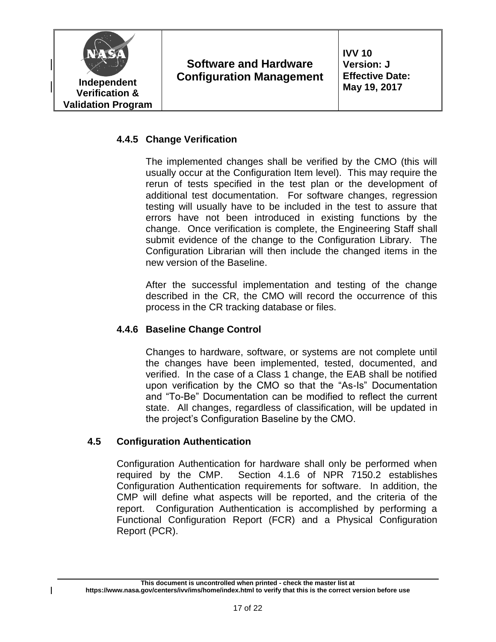

# **4.4.5 Change Verification**

The implemented changes shall be verified by the CMO (this will usually occur at the Configuration Item level). This may require the rerun of tests specified in the test plan or the development of additional test documentation. For software changes, regression testing will usually have to be included in the test to assure that errors have not been introduced in existing functions by the change. Once verification is complete, the Engineering Staff shall submit evidence of the change to the Configuration Library. The Configuration Librarian will then include the changed items in the new version of the Baseline.

After the successful implementation and testing of the change described in the CR, the CMO will record the occurrence of this process in the CR tracking database or files.

#### **4.4.6 Baseline Change Control**

Changes to hardware, software, or systems are not complete until the changes have been implemented, tested, documented, and verified. In the case of a Class 1 change, the EAB shall be notified upon verification by the CMO so that the "As-Is" Documentation and "To-Be" Documentation can be modified to reflect the current state. All changes, regardless of classification, will be updated in the project's Configuration Baseline by the CMO.

#### **4.5 Configuration Authentication**

Configuration Authentication for hardware shall only be performed when required by the CMP. Section 4.1.6 of NPR 7150.2 establishes Configuration Authentication requirements for software. In addition, the CMP will define what aspects will be reported, and the criteria of the report. Configuration Authentication is accomplished by performing a Functional Configuration Report (FCR) and a Physical Configuration Report (PCR).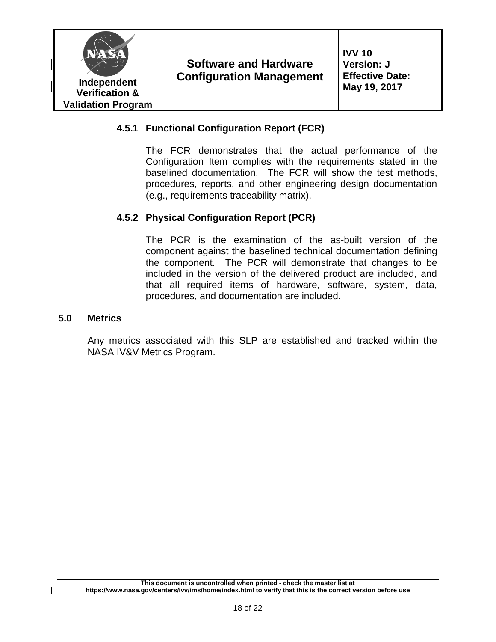

#### **4.5.1 Functional Configuration Report (FCR)**

The FCR demonstrates that the actual performance of the Configuration Item complies with the requirements stated in the baselined documentation. The FCR will show the test methods, procedures, reports, and other engineering design documentation (e.g., requirements traceability matrix).

# **4.5.2 Physical Configuration Report (PCR)**

The PCR is the examination of the as-built version of the component against the baselined technical documentation defining the component. The PCR will demonstrate that changes to be included in the version of the delivered product are included, and that all required items of hardware, software, system, data, procedures, and documentation are included.

#### **5.0 Metrics**

Any metrics associated with this SLP are established and tracked within the NASA IV&V Metrics Program.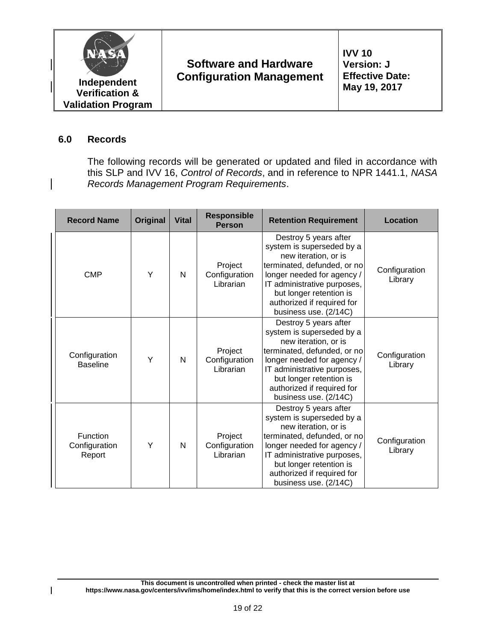

#### **6.0 Records**

 $\overline{\phantom{a}}$ 

The following records will be generated or updated and filed in accordance with this SLP and IVV 16, *Control of Records*, and in reference to NPR 1441.1, *NASA Records Management Program Requirements*.

| <b>Record Name</b>                  | Original | <b>Vital</b> | <b>Responsible</b><br><b>Person</b>   | <b>Retention Requirement</b>                                                                                                                                                                                                                             | Location                 |  |
|-------------------------------------|----------|--------------|---------------------------------------|----------------------------------------------------------------------------------------------------------------------------------------------------------------------------------------------------------------------------------------------------------|--------------------------|--|
| <b>CMP</b>                          | Υ        | N            | Project<br>Configuration<br>Librarian | Destroy 5 years after<br>system is superseded by a<br>new iteration, or is<br>terminated, defunded, or no<br>longer needed for agency /<br>IT administrative purposes,<br>but longer retention is<br>authorized if required for<br>business use. (2/14C) | Configuration<br>Library |  |
| Configuration<br><b>Baseline</b>    | Υ        | N            | Project<br>Configuration<br>Librarian | Destroy 5 years after<br>system is superseded by a<br>new iteration, or is<br>terminated, defunded, or no<br>longer needed for agency /<br>IT administrative purposes,<br>but longer retention is<br>authorized if required for<br>business use. (2/14C) | Configuration<br>Library |  |
| Function<br>Configuration<br>Report | Y        | N            | Project<br>Configuration<br>Librarian | Destroy 5 years after<br>system is superseded by a<br>new iteration, or is<br>terminated, defunded, or no<br>longer needed for agency /<br>IT administrative purposes,<br>but longer retention is<br>authorized if required for<br>business use. (2/14C) | Configuration<br>Library |  |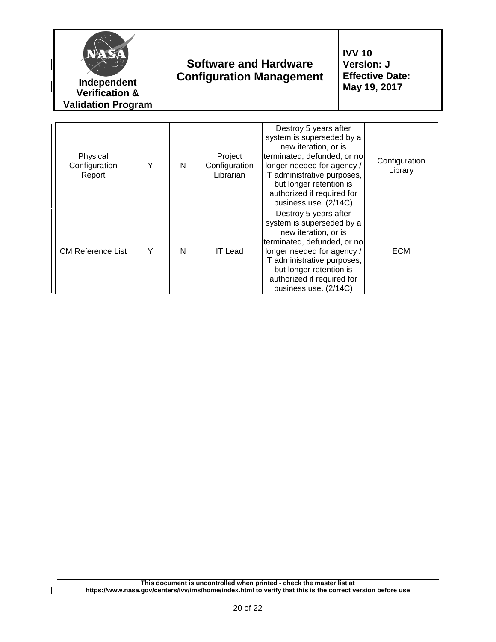| NA S                                | Independent<br><b>Verification &amp;</b><br><b>Validation Program</b> |   | <b>Software and Hardware</b><br><b>Configuration Management</b> |                                                                                                                                                                                                                                                          | <b>IVV 10</b><br><b>Version: J</b><br><b>Effective Date:</b><br>May 19, 2017 |                          |
|-------------------------------------|-----------------------------------------------------------------------|---|-----------------------------------------------------------------|----------------------------------------------------------------------------------------------------------------------------------------------------------------------------------------------------------------------------------------------------------|------------------------------------------------------------------------------|--------------------------|
| Physical<br>Configuration<br>Report | Υ                                                                     | N | Project<br>Configuration<br>Librarian                           | Destroy 5 years after<br>system is superseded by a<br>new iteration, or is<br>terminated, defunded, or no<br>longer needed for agency /<br>IT administrative purposes,<br>but longer retention is<br>authorized if required for<br>business use. (2/14C) |                                                                              | Configuration<br>Library |
| <b>CM Reference List</b>            | Υ                                                                     | N | <b>IT Lead</b>                                                  | Destroy 5 years after<br>system is superseded by a<br>new iteration, or is<br>terminated, defunded, or no<br>longer needed for agency /<br>IT administrative purposes,<br>but longer retention is<br>authorized if required for<br>business use. (2/14C) |                                                                              | <b>ECM</b>               |

 $\begin{array}{c} \rule{0pt}{2ex} \rule{0pt}{2ex} \rule{0pt}{2ex} \rule{0pt}{2ex} \rule{0pt}{2ex} \rule{0pt}{2ex} \rule{0pt}{2ex} \rule{0pt}{2ex} \rule{0pt}{2ex} \rule{0pt}{2ex} \rule{0pt}{2ex} \rule{0pt}{2ex} \rule{0pt}{2ex} \rule{0pt}{2ex} \rule{0pt}{2ex} \rule{0pt}{2ex} \rule{0pt}{2ex} \rule{0pt}{2ex} \rule{0pt}{2ex} \rule{0pt}{2ex} \rule{0pt}{2ex} \rule{0pt}{2ex} \rule{0pt}{2ex} \rule{0pt}{$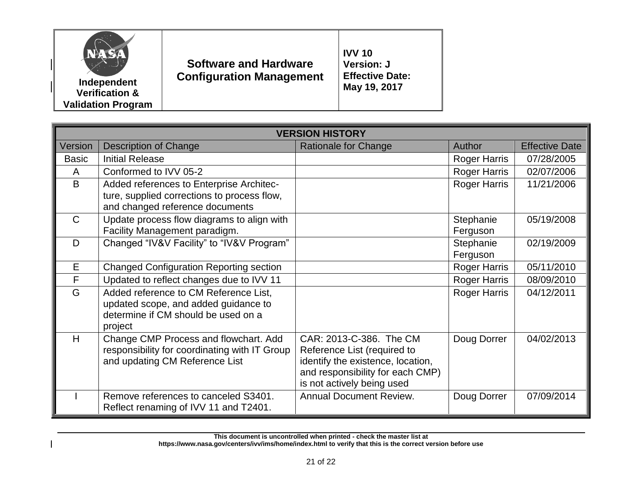

**Independent Verification & Validation Program**

# **Software and Hardware Configuration Management**

**IVV 10 Version: J Effective Date: May 19, 2017**

| <b>VERSION HISTORY</b> |                                                                                                                                 |                                                                                                                                                               |                       |                       |  |  |  |
|------------------------|---------------------------------------------------------------------------------------------------------------------------------|---------------------------------------------------------------------------------------------------------------------------------------------------------------|-----------------------|-----------------------|--|--|--|
| Version                | <b>Description of Change</b>                                                                                                    | Rationale for Change                                                                                                                                          | Author                | <b>Effective Date</b> |  |  |  |
| <b>Basic</b>           | <b>Initial Release</b>                                                                                                          |                                                                                                                                                               | <b>Roger Harris</b>   | 07/28/2005            |  |  |  |
| A                      | Conformed to IVV 05-2                                                                                                           |                                                                                                                                                               | Roger Harris          | 02/07/2006            |  |  |  |
| B                      | Added references to Enterprise Architec-                                                                                        |                                                                                                                                                               | <b>Roger Harris</b>   | 11/21/2006            |  |  |  |
|                        | ture, supplied corrections to process flow,<br>and changed reference documents                                                  |                                                                                                                                                               |                       |                       |  |  |  |
| $\mathsf{C}$           | Update process flow diagrams to align with<br>Facility Management paradigm.                                                     |                                                                                                                                                               | Stephanie<br>Ferguson | 05/19/2008            |  |  |  |
| D                      | Changed "IV&V Facility" to "IV&V Program"                                                                                       |                                                                                                                                                               | Stephanie<br>Ferguson | 02/19/2009            |  |  |  |
| E                      | <b>Changed Configuration Reporting section</b>                                                                                  |                                                                                                                                                               | <b>Roger Harris</b>   | 05/11/2010            |  |  |  |
| F                      | Updated to reflect changes due to IVV 11                                                                                        |                                                                                                                                                               | <b>Roger Harris</b>   | 08/09/2010            |  |  |  |
| G                      | Added reference to CM Reference List,<br>updated scope, and added guidance to<br>determine if CM should be used on a<br>project |                                                                                                                                                               | <b>Roger Harris</b>   | 04/12/2011            |  |  |  |
| H                      | Change CMP Process and flowchart. Add<br>responsibility for coordinating with IT Group<br>and updating CM Reference List        | CAR: 2013-C-386. The CM<br>Reference List (required to<br>identify the existence, location,<br>and responsibility for each CMP)<br>is not actively being used | Doug Dorrer           | 04/02/2013            |  |  |  |
|                        | Remove references to canceled S3401.<br>Reflect renaming of IVV 11 and T2401.                                                   | <b>Annual Document Review.</b>                                                                                                                                | Doug Dorrer           | 07/09/2014            |  |  |  |